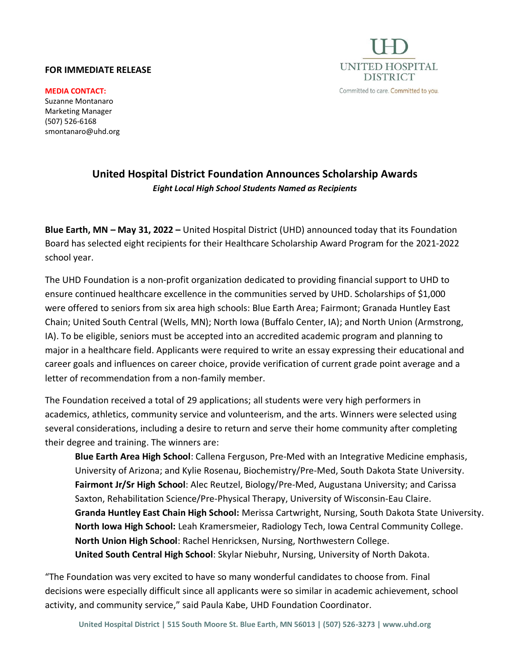## **FOR IMMEDIATE RELEASE**



**MEDIA CONTACT:** Suzanne Montanaro Marketing Manager (507) 526-6168 smontanaro@uhd.org

## **United Hospital District Foundation Announces Scholarship Awards** *Eight Local High School Students Named as Recipients*

**Blue Earth, MN – May 31, 2022 –** United Hospital District (UHD) announced today that its Foundation Board has selected eight recipients for their Healthcare Scholarship Award Program for the 2021-2022 school year.

The UHD Foundation is a non-profit organization dedicated to providing financial support to UHD to ensure continued healthcare excellence in the communities served by UHD. Scholarships of \$1,000 were offered to seniors from six area high schools: Blue Earth Area; Fairmont; Granada Huntley East Chain; United South Central (Wells, MN); North Iowa (Buffalo Center, IA); and North Union (Armstrong, IA). To be eligible, seniors must be accepted into an accredited academic program and planning to major in a healthcare field. Applicants were required to write an essay expressing their educational and career goals and influences on career choice, provide verification of current grade point average and a letter of recommendation from a non-family member.

The Foundation received a total of 29 applications; all students were very high performers in academics, athletics, community service and volunteerism, and the arts. Winners were selected using several considerations, including a desire to return and serve their home community after completing their degree and training. The winners are:

**Blue Earth Area High School**: Callena Ferguson, Pre-Med with an Integrative Medicine emphasis, University of Arizona; and Kylie Rosenau, Biochemistry/Pre-Med, South Dakota State University. **Fairmont Jr/Sr High School**: Alec Reutzel, Biology/Pre-Med, Augustana University; and Carissa Saxton, Rehabilitation Science/Pre-Physical Therapy, University of Wisconsin-Eau Claire. **Granda Huntley East Chain High School:** Merissa Cartwright, Nursing, South Dakota State University. **North Iowa High School:** Leah Kramersmeier, Radiology Tech, Iowa Central Community College. **North Union High School**: Rachel Henricksen, Nursing, Northwestern College. **United South Central High School**: Skylar Niebuhr, Nursing, University of North Dakota.

"The Foundation was very excited to have so many wonderful candidates to choose from. Final decisions were especially difficult since all applicants were so similar in academic achievement, school activity, and community service," said Paula Kabe, UHD Foundation Coordinator.